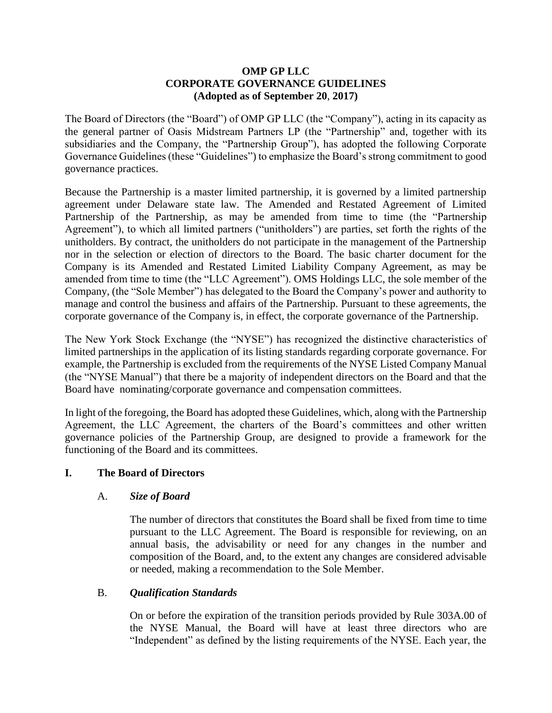# **OMP GP LLC CORPORATE GOVERNANCE GUIDELINES (Adopted as of September 20**, **2017)**

The Board of Directors (the "Board") of OMP GP LLC (the "Company"), acting in its capacity as the general partner of Oasis Midstream Partners LP (the "Partnership" and, together with its subsidiaries and the Company, the "Partnership Group"), has adopted the following Corporate Governance Guidelines (these "Guidelines") to emphasize the Board's strong commitment to good governance practices.

Because the Partnership is a master limited partnership, it is governed by a limited partnership agreement under Delaware state law. The Amended and Restated Agreement of Limited Partnership of the Partnership, as may be amended from time to time (the "Partnership Agreement"), to which all limited partners ("unitholders") are parties, set forth the rights of the unitholders. By contract, the unitholders do not participate in the management of the Partnership nor in the selection or election of directors to the Board. The basic charter document for the Company is its Amended and Restated Limited Liability Company Agreement, as may be amended from time to time (the "LLC Agreement"). OMS Holdings LLC, the sole member of the Company, (the "Sole Member") has delegated to the Board the Company's power and authority to manage and control the business and affairs of the Partnership. Pursuant to these agreements, the corporate governance of the Company is, in effect, the corporate governance of the Partnership.

The New York Stock Exchange (the "NYSE") has recognized the distinctive characteristics of limited partnerships in the application of its listing standards regarding corporate governance. For example, the Partnership is excluded from the requirements of the NYSE Listed Company Manual (the "NYSE Manual") that there be a majority of independent directors on the Board and that the Board have nominating/corporate governance and compensation committees.

In light of the foregoing, the Board has adopted these Guidelines, which, along with the Partnership Agreement, the LLC Agreement, the charters of the Board's committees and other written governance policies of the Partnership Group, are designed to provide a framework for the functioning of the Board and its committees.

# **I. The Board of Directors**

# A. *Size of Board*

The number of directors that constitutes the Board shall be fixed from time to time pursuant to the LLC Agreement. The Board is responsible for reviewing, on an annual basis, the advisability or need for any changes in the number and composition of the Board, and, to the extent any changes are considered advisable or needed, making a recommendation to the Sole Member.

# B. *Qualification Standards*

On or before the expiration of the transition periods provided by Rule 303A.00 of the NYSE Manual, the Board will have at least three directors who are "Independent" as defined by the listing requirements of the NYSE. Each year, the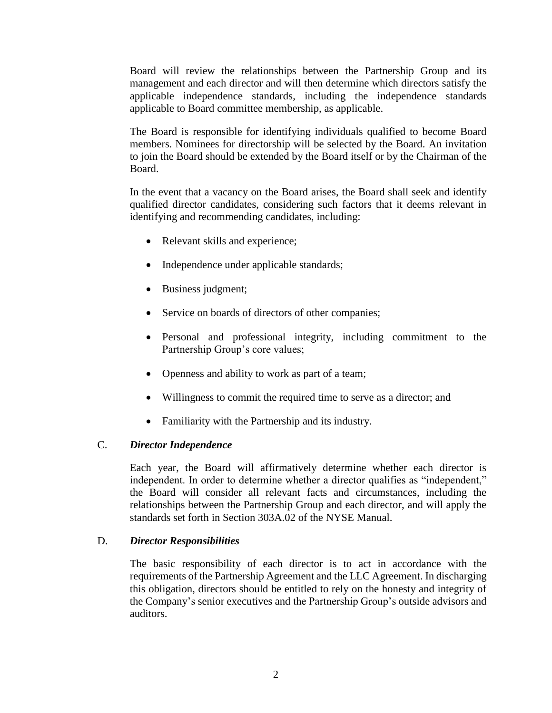Board will review the relationships between the Partnership Group and its management and each director and will then determine which directors satisfy the applicable independence standards, including the independence standards applicable to Board committee membership, as applicable.

The Board is responsible for identifying individuals qualified to become Board members. Nominees for directorship will be selected by the Board. An invitation to join the Board should be extended by the Board itself or by the Chairman of the Board.

In the event that a vacancy on the Board arises, the Board shall seek and identify qualified director candidates, considering such factors that it deems relevant in identifying and recommending candidates, including:

- Relevant skills and experience;
- Independence under applicable standards;
- Business judgment;
- Service on boards of directors of other companies;
- Personal and professional integrity, including commitment to the Partnership Group's core values;
- Openness and ability to work as part of a team;
- Willingness to commit the required time to serve as a director; and
- Familiarity with the Partnership and its industry.

# C. *Director Independence*

Each year, the Board will affirmatively determine whether each director is independent. In order to determine whether a director qualifies as "independent," the Board will consider all relevant facts and circumstances, including the relationships between the Partnership Group and each director, and will apply the standards set forth in Section 303A.02 of the NYSE Manual.

# D. *Director Responsibilities*

The basic responsibility of each director is to act in accordance with the requirements of the Partnership Agreement and the LLC Agreement. In discharging this obligation, directors should be entitled to rely on the honesty and integrity of the Company's senior executives and the Partnership Group's outside advisors and auditors.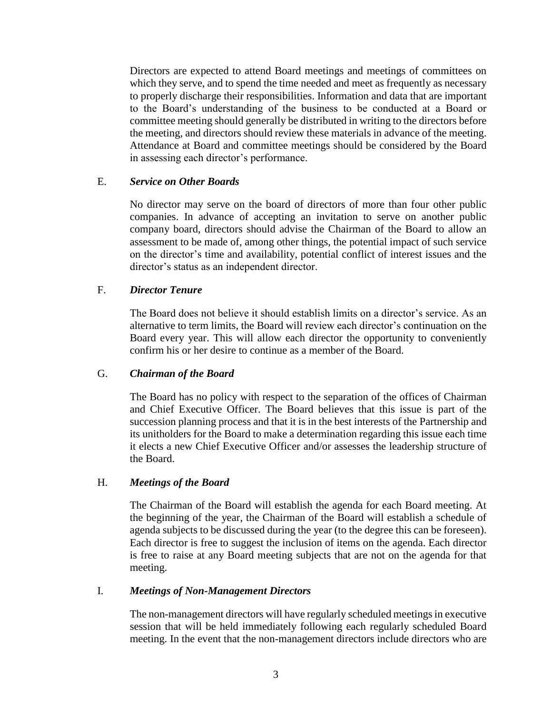Directors are expected to attend Board meetings and meetings of committees on which they serve, and to spend the time needed and meet as frequently as necessary to properly discharge their responsibilities. Information and data that are important to the Board's understanding of the business to be conducted at a Board or committee meeting should generally be distributed in writing to the directors before the meeting, and directors should review these materials in advance of the meeting. Attendance at Board and committee meetings should be considered by the Board in assessing each director's performance.

# E. *Service on Other Boards*

No director may serve on the board of directors of more than four other public companies. In advance of accepting an invitation to serve on another public company board, directors should advise the Chairman of the Board to allow an assessment to be made of, among other things, the potential impact of such service on the director's time and availability, potential conflict of interest issues and the director's status as an independent director.

# F. *Director Tenure*

The Board does not believe it should establish limits on a director's service. As an alternative to term limits, the Board will review each director's continuation on the Board every year. This will allow each director the opportunity to conveniently confirm his or her desire to continue as a member of the Board.

# G. *Chairman of the Board*

The Board has no policy with respect to the separation of the offices of Chairman and Chief Executive Officer. The Board believes that this issue is part of the succession planning process and that it is in the best interests of the Partnership and its unitholders for the Board to make a determination regarding this issue each time it elects a new Chief Executive Officer and/or assesses the leadership structure of the Board.

# H. *Meetings of the Board*

The Chairman of the Board will establish the agenda for each Board meeting. At the beginning of the year, the Chairman of the Board will establish a schedule of agenda subjects to be discussed during the year (to the degree this can be foreseen). Each director is free to suggest the inclusion of items on the agenda. Each director is free to raise at any Board meeting subjects that are not on the agenda for that meeting.

# I. *Meetings of Non-Management Directors*

The non-management directors will have regularly scheduled meetings in executive session that will be held immediately following each regularly scheduled Board meeting. In the event that the non-management directors include directors who are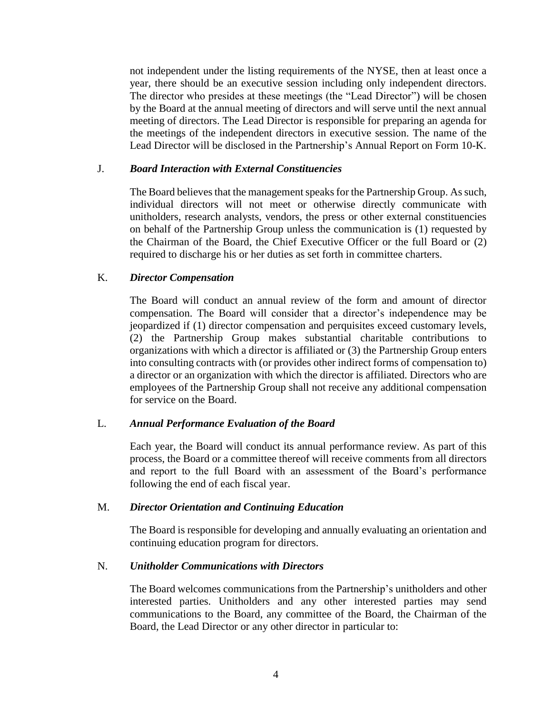not independent under the listing requirements of the NYSE, then at least once a year, there should be an executive session including only independent directors. The director who presides at these meetings (the "Lead Director") will be chosen by the Board at the annual meeting of directors and will serve until the next annual meeting of directors. The Lead Director is responsible for preparing an agenda for the meetings of the independent directors in executive session. The name of the Lead Director will be disclosed in the Partnership's Annual Report on Form 10-K.

### J. *Board Interaction with External Constituencies*

The Board believes that the management speaks for the Partnership Group. As such, individual directors will not meet or otherwise directly communicate with unitholders, research analysts, vendors, the press or other external constituencies on behalf of the Partnership Group unless the communication is (1) requested by the Chairman of the Board, the Chief Executive Officer or the full Board or (2) required to discharge his or her duties as set forth in committee charters.

# K. *Director Compensation*

The Board will conduct an annual review of the form and amount of director compensation. The Board will consider that a director's independence may be jeopardized if (1) director compensation and perquisites exceed customary levels, (2) the Partnership Group makes substantial charitable contributions to organizations with which a director is affiliated or (3) the Partnership Group enters into consulting contracts with (or provides other indirect forms of compensation to) a director or an organization with which the director is affiliated. Directors who are employees of the Partnership Group shall not receive any additional compensation for service on the Board.

# L. *Annual Performance Evaluation of the Board*

Each year, the Board will conduct its annual performance review. As part of this process, the Board or a committee thereof will receive comments from all directors and report to the full Board with an assessment of the Board's performance following the end of each fiscal year.

#### M. *Director Orientation and Continuing Education*

The Board is responsible for developing and annually evaluating an orientation and continuing education program for directors.

#### N. *Unitholder Communications with Directors*

The Board welcomes communications from the Partnership's unitholders and other interested parties. Unitholders and any other interested parties may send communications to the Board, any committee of the Board, the Chairman of the Board, the Lead Director or any other director in particular to: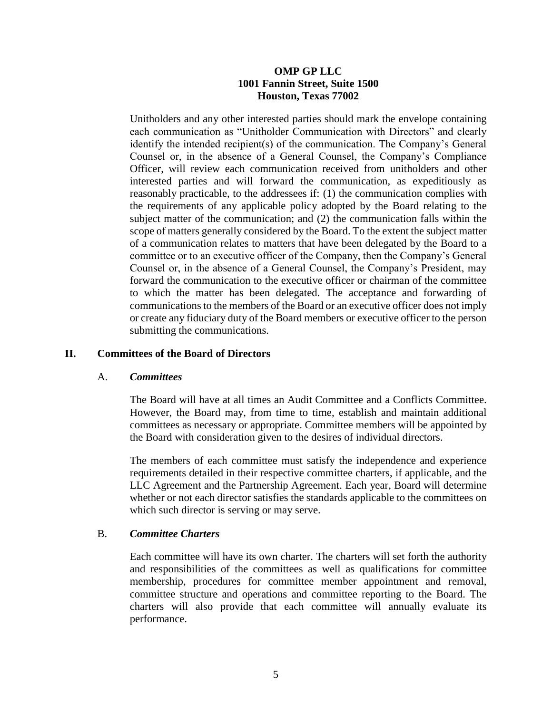# **OMP GP LLC 1001 Fannin Street, Suite 1500 Houston, Texas 77002**

Unitholders and any other interested parties should mark the envelope containing each communication as "Unitholder Communication with Directors" and clearly identify the intended recipient(s) of the communication. The Company's General Counsel or, in the absence of a General Counsel, the Company's Compliance Officer, will review each communication received from unitholders and other interested parties and will forward the communication, as expeditiously as reasonably practicable, to the addressees if: (1) the communication complies with the requirements of any applicable policy adopted by the Board relating to the subject matter of the communication; and (2) the communication falls within the scope of matters generally considered by the Board. To the extent the subject matter of a communication relates to matters that have been delegated by the Board to a committee or to an executive officer of the Company, then the Company's General Counsel or, in the absence of a General Counsel, the Company's President, may forward the communication to the executive officer or chairman of the committee to which the matter has been delegated. The acceptance and forwarding of communications to the members of the Board or an executive officer does not imply or create any fiduciary duty of the Board members or executive officer to the person submitting the communications.

# **II. Committees of the Board of Directors**

#### A. *Committees*

The Board will have at all times an Audit Committee and a Conflicts Committee. However, the Board may, from time to time, establish and maintain additional committees as necessary or appropriate. Committee members will be appointed by the Board with consideration given to the desires of individual directors.

The members of each committee must satisfy the independence and experience requirements detailed in their respective committee charters, if applicable, and the LLC Agreement and the Partnership Agreement. Each year, Board will determine whether or not each director satisfies the standards applicable to the committees on which such director is serving or may serve.

# B. *Committee Charters*

Each committee will have its own charter. The charters will set forth the authority and responsibilities of the committees as well as qualifications for committee membership, procedures for committee member appointment and removal, committee structure and operations and committee reporting to the Board. The charters will also provide that each committee will annually evaluate its performance.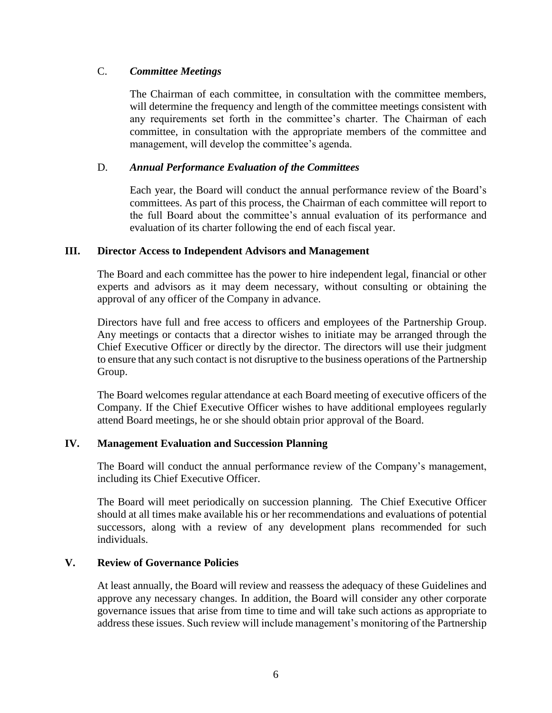# C. *Committee Meetings*

The Chairman of each committee, in consultation with the committee members, will determine the frequency and length of the committee meetings consistent with any requirements set forth in the committee's charter. The Chairman of each committee, in consultation with the appropriate members of the committee and management, will develop the committee's agenda.

# D. *Annual Performance Evaluation of the Committees*

Each year, the Board will conduct the annual performance review of the Board's committees. As part of this process, the Chairman of each committee will report to the full Board about the committee's annual evaluation of its performance and evaluation of its charter following the end of each fiscal year.

# **III. Director Access to Independent Advisors and Management**

The Board and each committee has the power to hire independent legal, financial or other experts and advisors as it may deem necessary, without consulting or obtaining the approval of any officer of the Company in advance.

Directors have full and free access to officers and employees of the Partnership Group. Any meetings or contacts that a director wishes to initiate may be arranged through the Chief Executive Officer or directly by the director. The directors will use their judgment to ensure that any such contact is not disruptive to the business operations of the Partnership Group.

The Board welcomes regular attendance at each Board meeting of executive officers of the Company. If the Chief Executive Officer wishes to have additional employees regularly attend Board meetings, he or she should obtain prior approval of the Board.

# **IV. Management Evaluation and Succession Planning**

The Board will conduct the annual performance review of the Company's management, including its Chief Executive Officer.

The Board will meet periodically on succession planning. The Chief Executive Officer should at all times make available his or her recommendations and evaluations of potential successors, along with a review of any development plans recommended for such individuals.

# **V. Review of Governance Policies**

At least annually, the Board will review and reassess the adequacy of these Guidelines and approve any necessary changes. In addition, the Board will consider any other corporate governance issues that arise from time to time and will take such actions as appropriate to address these issues. Such review will include management's monitoring of the Partnership